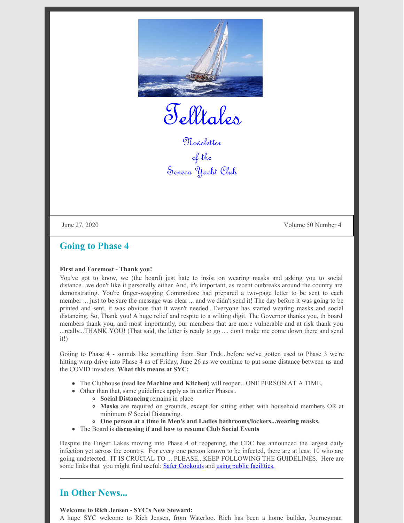

Telltales

Newsletter of the Seneca Yacht Club

June 27, 2020 Volume 50 Number 4

### **Going to Phase 4**

### **First and Foremost - Thank you!**

You've got to know, we (the board) just hate to insist on wearing masks and asking you to social distance...we don't like it personally either. And, it's important, as recent outbreaks around the country are demonstrating. You're finger-wagging Commodore had prepared a two-page letter to be sent to each member ... just to be sure the message was clear ... and we didn't send it! The day before it was going to be printed and sent, it was obvious that it wasn't needed...Everyone has started wearing masks and social distancing. So, Thank you! A huge relief and respite to a wilting digit. The Governor thanks you, th board members thank you, and most importantly, our members that are more vulnerable and at risk thank you ...really...THANK YOU! (That said, the letter is ready to go .... don't make me come down there and send it!)

Goiing to Phase 4 - sounds like something from Star Trek...before we've gotten used to Phase 3 we're hitting warp drive into Phase 4 as of Friday, June 26 as we continue to put some distance between us and the COVID invaders. **What this means at SYC:**

- The Clubhouse (read **Ice Machine and Kitchen**) will reopen...ONE PERSON AT A TIME.
- Other than that, same guidelines apply as in earlier Phases..
	- **Social Distancing** remains in place
	- **Masks** are required on grounds, except for sitting either with household members OR at minimum 6' Social Distancing.
	- **One person at a time in Men's and Ladies bathrooms/lockers...wearing masks.**
- The Board is **discussing if and how to resume Club Social Events**

Despite the Finger Lakes moving into Phase 4 of reopening, the CDC has announced the largest daily infection yet across the country. For every one person known to be infected, there are at least 10 who are going undetected. IT IS CRUCIAL TO ... PLEASE...KEEP FOLLOWING THE GUIDELINES. Here are some links that you might find useful: **Safer [Cookouts](https://www.aarp.org/health/conditions-treatments/info-2020/coronavirus-summer-cookouts.html?cmp=SNO-ICM-FB-COVID-HLTH&socialid=3442742794)** and using public [facilities.](https://www.nytimes.com/2020/06/24/style/coronavirus-public-bathrooms.html?referringSource=articleShare)

# **In Other News...**

### **Welcome to Rich Jensen - SYC's New Steward:**

A huge SYC welcome to Rich Jensen, from Waterloo. Rich has been a home builder, Journeyman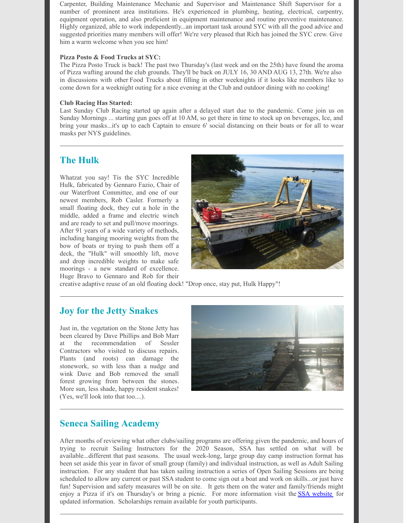Carpenter, Building Maintenance Mechanic and Supervisor and Maintenance Shift Supervisor for a number of prominent area institutions. He's experienced in plumbing, heating, electrical, carpentry, equipment operation, and also proficient in equipment maintenance and routine preventive maintenance. Highly organized, able to work independently...an important task around SYC with all the good advice and suggested priorities many members will offer! We're very pleased that Rich has joined the SYC crew. Give him a warm welcome when you see him!

### **Pizza Posto & Food Trucks at SYC:**

The Pizza Posto Truck is back! The past two Thursday's (last week and on the 25th) have found the aroma of Pizza wafting around the club grounds. They'll be back on JULY 16, 30 AND AUG 13, 27th. We're also in discussions with other Food Trucks about filling in other weeknights if it looks like members like to come down for a weeknight outing for a nice evening at the Club and outdoor dining with no cooking!

### **Club Racing Has Started:**

Last Sunday Club Racing started up again after a delayed start due to the pandemic. Come join us on Sunday Mornings ... starting gun goes off at 10 AM, so get there in time to stock up on beverages, Ice, and bring your masks...it's up to each Captain to ensure 6' social distancing on their boats or for all to wear masks per NYS guidelines.

# **The Hulk**

Whatzat you say! Tis the SYC Incredible Hulk, fabricated by Gennaro Fazio, Chair of our Waterfront Committee, and one of our newest members, Rob Casler. Formerly a small floating dock, they cut a hole in the middle, added a frame and electric winch and are ready to set and pull/move moorings. After 91 years of a wide variety of methods, including hanging mooring weights from the bow of boats or trying to push them off a deck, the "Hulk" will smoothly lift, move and drop incredible weights to make safe moorings - a new standard of excellence. Huge Bravo to Gennaro and Rob for their



creative adaptive reuse of an old floating dock! "Drop once, stay put, Hulk Happy"!

### **Joy for the Jetty Snakes**

Just in, the vegetation on the Stone Jetty has been cleared by Dave Phillips and Bob Marr at the recommendation of Sessler Contractors who visited to discuss repairs. Plants (and roots) can damage the stonework, so with less than a nudge and wink Dave and Bob removed the small forest growing from between the stones. More sun, less shade, happy resident snakes! (Yes, we'll look into that too....).



# **Seneca Sailing Academy**

After months of reviewing what other clubs/sailing programs are offering given the pandemic, and hours of trying to recruit Sailing Instructors for the 2020 Season, SSA has settled on what will be available...different that past seasons. The usual week-long, large group day camp instruction format has been set aside this year in favor of small group (family) and individual instruction, as well as Adult Sailing instruction. For any student that has taken sailing instruction a series of Open Sailing Sessions are being scheduled to allow any current or past SSA student to come sign out a boat and work on skills...or just have fun! Supervision and safety measures will be on site. It gets them on the water and family/friends might enjoy a Pizza if it's on Thursday's or bring a picnic. For more information visit the SSA [website](http://www.senecasailingacademy.org) for updated information. Scholarships remain available for youth participants.